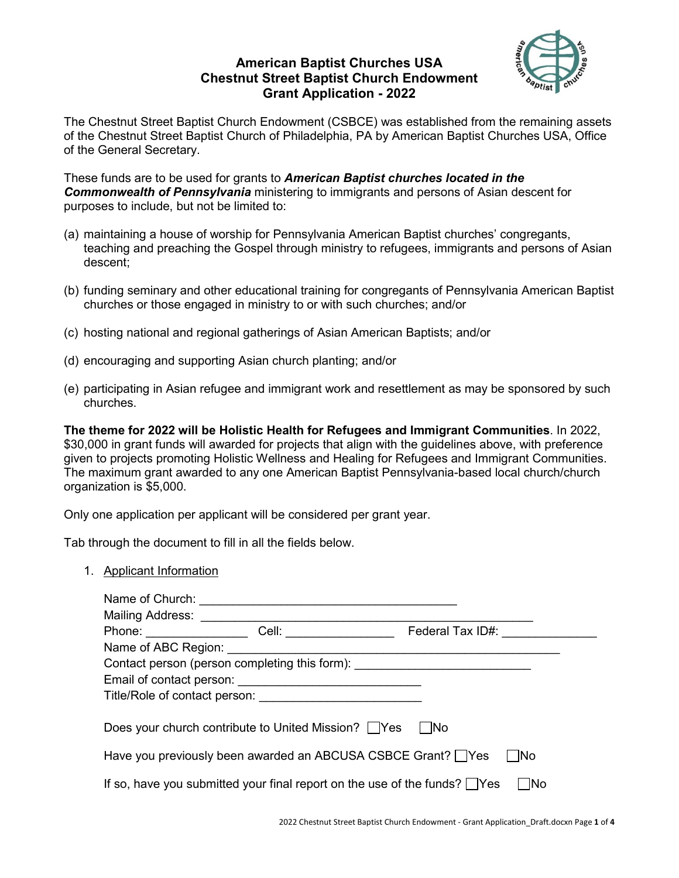# **American Baptist Churches USA Chestnut Street Baptist Church Endowment Grant Application - 2022**



The Chestnut Street Baptist Church Endowment (CSBCE) was established from the remaining assets of the Chestnut Street Baptist Church of Philadelphia, PA by American Baptist Churches USA, Office of the General Secretary.

These funds are to be used for grants to *American Baptist churches located in the Commonwealth of Pennsylvania* ministering to immigrants and persons of Asian descent for purposes to include, but not be limited to:

- (a) maintaining a house of worship for Pennsylvania American Baptist churches' congregants, teaching and preaching the Gospel through ministry to refugees, immigrants and persons of Asian descent;
- (b) funding seminary and other educational training for congregants of Pennsylvania American Baptist churches or those engaged in ministry to or with such churches; and/or
- (c) hosting national and regional gatherings of Asian American Baptists; and/or
- (d) encouraging and supporting Asian church planting; and/or
- (e) participating in Asian refugee and immigrant work and resettlement as may be sponsored by such churches.

**The theme for 2022 will be Holistic Health for Refugees and Immigrant Communities**. In 2022, \$30,000 in grant funds will awarded for projects that align with the guidelines above, with preference given to projects promoting Holistic Wellness and Healing for Refugees and Immigrant Communities. The maximum grant awarded to any one American Baptist Pennsylvania-based local church/church organization is \$5,000.

Only one application per applicant will be considered per grant year.

Tab through the document to fill in all the fields below.

1. Applicant Information

| Name of Church:                                                                        |                                         |                  |  |  |
|----------------------------------------------------------------------------------------|-----------------------------------------|------------------|--|--|
| Mailing Address:                                                                       |                                         |                  |  |  |
| Phone: ______________                                                                  | Cell: ________________                  | Federal Tax ID#: |  |  |
|                                                                                        | Name of ABC Region: Name of ABC Region: |                  |  |  |
| Contact person (person completing this form): __________________________________       |                                         |                  |  |  |
|                                                                                        |                                         |                  |  |  |
|                                                                                        | Title/Role of contact person:           |                  |  |  |
| Does your church contribute to United Mission?   Yes<br>- INo                          |                                         |                  |  |  |
| Have you previously been awarded an ABCUSA CSBCE Grant? Yes<br><b>INo</b>              |                                         |                  |  |  |
| If so, have you submitted your final report on the use of the funds? $\Box$ Yes<br>INo |                                         |                  |  |  |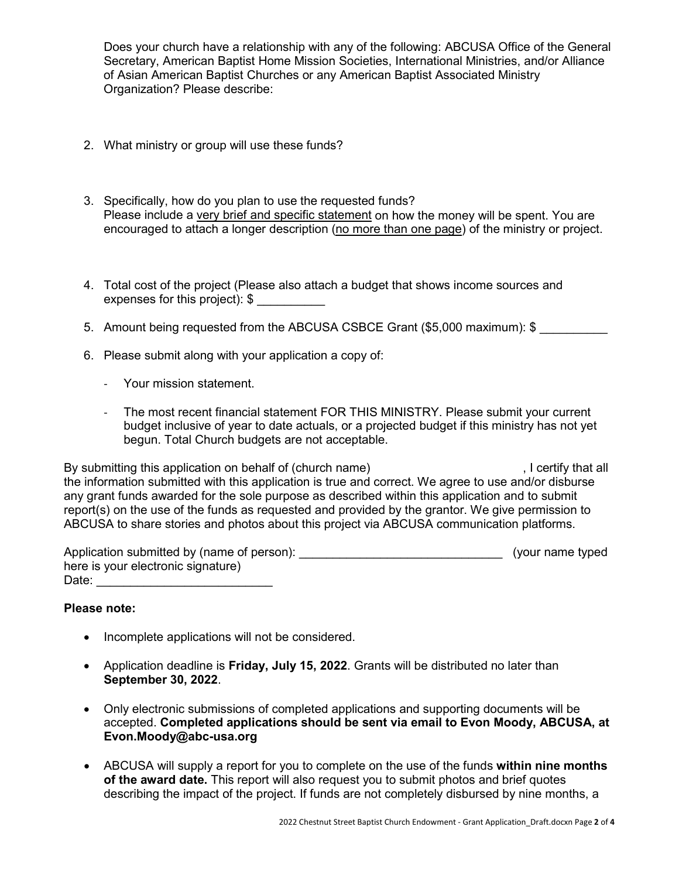Does your church have a relationship with any of the following: ABCUSA Office of the General Secretary, American Baptist Home Mission Societies, International Ministries, and/or Alliance of Asian American Baptist Churches or any American Baptist Associated Ministry Organization? Please describe:

- 2. What ministry or group will use these funds?
- 3. Specifically, how do you plan to use the requested funds? Please include a very brief and specific statement on how the money will be spent. You are encouraged to attach a longer description (no more than one page) of the ministry or project.
- 4. Total cost of the project (Please also attach a budget that shows income sources and expenses for this project): \$ \_\_\_\_\_\_\_\_\_\_
- 5. Amount being requested from the ABCUSA CSBCE Grant (\$5,000 maximum): \$
- 6. Please submit along with your application a copy of:
	- Your mission statement.
	- The most recent financial statement FOR THIS MINISTRY. Please submit your current budget inclusive of year to date actuals, or a projected budget if this ministry has not yet begun. Total Church budgets are not acceptable.

By submitting this application on behalf of (church name) , I certify that all the information submitted with this application is true and correct. We agree to use and/or disburse any grant funds awarded for the sole purpose as described within this application and to submit report(s) on the use of the funds as requested and provided by the grantor. We give permission to ABCUSA to share stories and photos about this project via ABCUSA communication platforms.

| Application submitted by (name of person): | (your name typed) |  |
|--------------------------------------------|-------------------|--|
| here is your electronic signature)         |                   |  |
| Date:                                      |                   |  |

### **Please note:**

- Incomplete applications will not be considered.
- Application deadline is **Friday, July 15, 2022**. Grants will be distributed no later than **September 30, 2022**.
- Only electronic submissions of completed applications and supporting documents will be accepted. **Completed applications should be sent via email to Evon Moody, ABCUSA, at Evon.Moody@abc-usa.org**
- ABCUSA will supply a report for you to complete on the use of the funds **within nine months of the award date.** This report will also request you to submit photos and brief quotes describing the impact of the project. If funds are not completely disbursed by nine months, a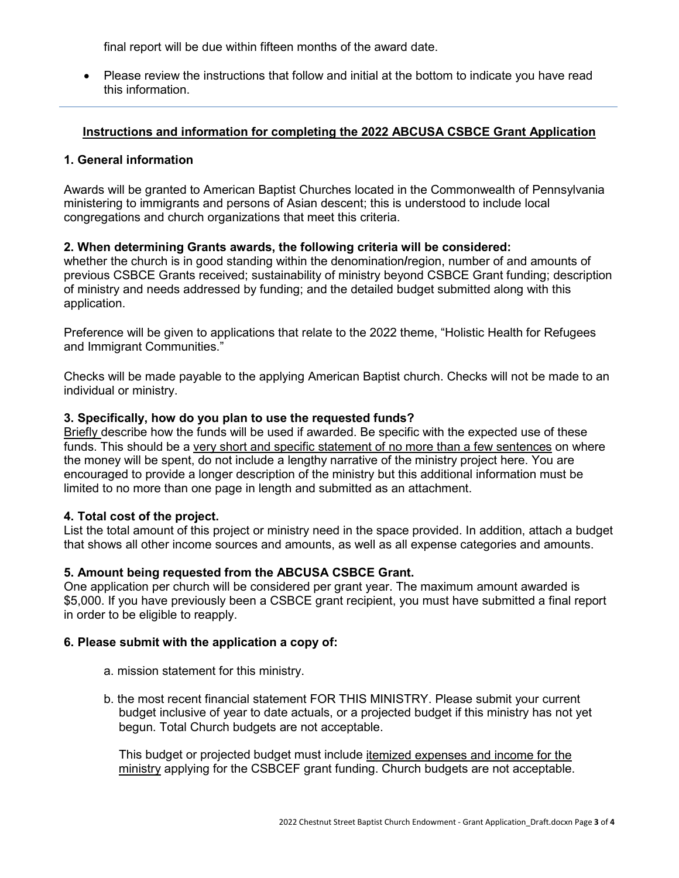final report will be due within fifteen months of the award date.

• Please review the instructions that follow and initial at the bottom to indicate you have read this information.

# **Instructions and information for completing the 2022 ABCUSA CSBCE Grant Application**

# **1. General information**

Awards will be granted to American Baptist Churches located in the Commonwealth of Pennsylvania ministering to immigrants and persons of Asian descent; this is understood to include local congregations and church organizations that meet this criteria.

# **2. When determining Grants awards, the following criteria will be considered:**

whether the church is in good standing within the denomination**/**region, number of and amounts of previous CSBCE Grants received; sustainability of ministry beyond CSBCE Grant funding; description of ministry and needs addressed by funding; and the detailed budget submitted along with this application.

Preference will be given to applications that relate to the 2022 theme, "Holistic Health for Refugees and Immigrant Communities."

Checks will be made payable to the applying American Baptist church. Checks will not be made to an individual or ministry.

### **3. Specifically, how do you plan to use the requested funds?**

Briefly describe how the funds will be used if awarded. Be specific with the expected use of these funds. This should be a very short and specific statement of no more than a few sentences on where the money will be spent, do not include a lengthy narrative of the ministry project here. You are encouraged to provide a longer description of the ministry but this additional information must be limited to no more than one page in length and submitted as an attachment.

### **4. Total cost of the project.**

List the total amount of this project or ministry need in the space provided. In addition, attach a budget that shows all other income sources and amounts, as well as all expense categories and amounts.

# **5. Amount being requested from the ABCUSA CSBCE Grant.**

One application per church will be considered per grant year. The maximum amount awarded is \$5,000. If you have previously been a CSBCE grant recipient, you must have submitted a final report in order to be eligible to reapply.

### **6. Please submit with the application a copy of:**

- a. mission statement for this ministry.
- b. the most recent financial statement FOR THIS MINISTRY. Please submit your current budget inclusive of year to date actuals, or a projected budget if this ministry has not yet begun. Total Church budgets are not acceptable.

This budget or projected budget must include itemized expenses and income for the ministry applying for the CSBCEF grant funding. Church budgets are not acceptable.